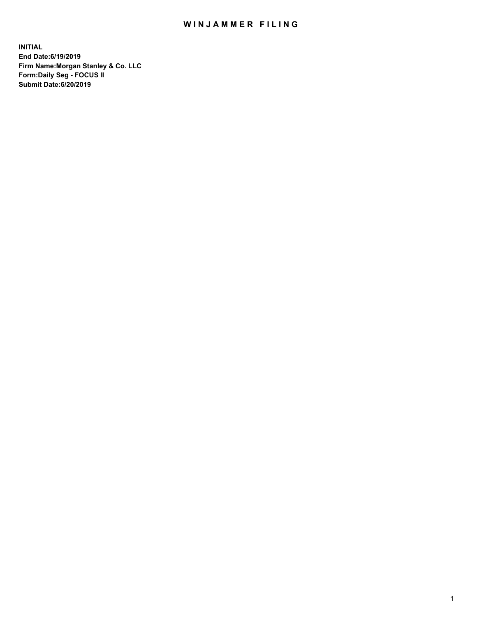## WIN JAMMER FILING

**INITIAL End Date:6/19/2019 Firm Name:Morgan Stanley & Co. LLC Form:Daily Seg - FOCUS II Submit Date:6/20/2019**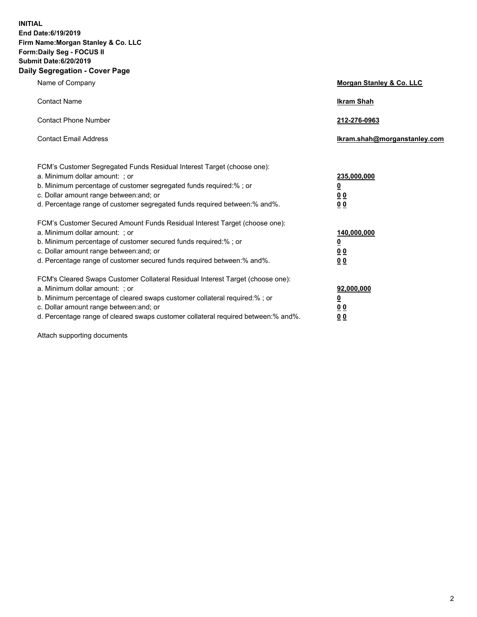**INITIAL End Date:6/19/2019 Firm Name:Morgan Stanley & Co. LLC Form:Daily Seg - FOCUS II Submit Date:6/20/2019 Daily Segregation - Cover Page**

| Name of Company                                                                                                                                                                                                                                                                                                                                                                                          | Morgan Stanley & Co. LLC                                                |
|----------------------------------------------------------------------------------------------------------------------------------------------------------------------------------------------------------------------------------------------------------------------------------------------------------------------------------------------------------------------------------------------------------|-------------------------------------------------------------------------|
| <b>Contact Name</b>                                                                                                                                                                                                                                                                                                                                                                                      | <b>Ikram Shah</b>                                                       |
| <b>Contact Phone Number</b>                                                                                                                                                                                                                                                                                                                                                                              | 212-276-0963                                                            |
| <b>Contact Email Address</b>                                                                                                                                                                                                                                                                                                                                                                             | Ikram.shah@morganstanley.com                                            |
| FCM's Customer Segregated Funds Residual Interest Target (choose one):<br>a. Minimum dollar amount: ; or<br>b. Minimum percentage of customer segregated funds required:% ; or<br>c. Dollar amount range between: and; or<br>d. Percentage range of customer segregated funds required between: % and %.                                                                                                 | 235,000,000<br><u>0</u><br><u>00</u>                                    |
| FCM's Customer Secured Amount Funds Residual Interest Target (choose one):<br>a. Minimum dollar amount: ; or<br>b. Minimum percentage of customer secured funds required:%; or<br>c. Dollar amount range between: and; or                                                                                                                                                                                | 0 <sup>0</sup><br>140,000,000<br><u>0</u><br>0 <sub>0</sub>             |
| d. Percentage range of customer secured funds required between:% and%.<br>FCM's Cleared Swaps Customer Collateral Residual Interest Target (choose one):<br>a. Minimum dollar amount: ; or<br>b. Minimum percentage of cleared swaps customer collateral required:% ; or<br>c. Dollar amount range between: and; or<br>d. Percentage range of cleared swaps customer collateral required between:% and%. | 0 <sub>0</sub><br>92,000,000<br><u>0</u><br><u>00</u><br>0 <sup>0</sup> |

Attach supporting documents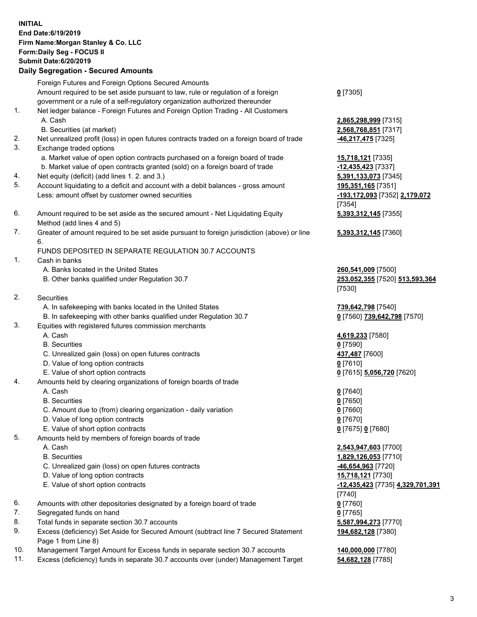## **INITIAL End Date:6/19/2019 Firm Name:Morgan Stanley & Co. LLC Form:Daily Seg - FOCUS II Submit Date:6/20/2019 Daily Segregation - Secured Amounts** Foreign Futures and Foreign Options Secured Amounts Amount required to be set aside pursuant to law, rule or regulation of a foreign government or a rule of a self-regulatory organization authorized thereunder **0** [7305] 1. Net ledger balance - Foreign Futures and Foreign Option Trading - All Customers A. Cash **2,865,298,999** [7315] B. Securities (at market) **2,568,768,851** [7317] 2. Net unrealized profit (loss) in open futures contracts traded on a foreign board of trade **-46,217,475** [7325] 3. Exchange traded options a. Market value of open option contracts purchased on a foreign board of trade **15,718,121** [7335] b. Market value of open contracts granted (sold) on a foreign board of trade **-12,435,423** [7337] 4. Net equity (deficit) (add lines 1. 2. and 3.) **5,391,133,073** [7345] 5. Account liquidating to a deficit and account with a debit balances - gross amount **195,351,165** [7351] Less: amount offset by customer owned securities **-193,172,093** [7352] **2,179,072** [7354] 6. Amount required to be set aside as the secured amount - Net Liquidating Equity Method (add lines 4 and 5) **5,393,312,145** [7355] 7. Greater of amount required to be set aside pursuant to foreign jurisdiction (above) or line 6. **5,393,312,145** [7360] FUNDS DEPOSITED IN SEPARATE REGULATION 30.7 ACCOUNTS 1. Cash in banks A. Banks located in the United States **260,541,009** [7500] B. Other banks qualified under Regulation 30.7 **253,052,355** [7520] **513,593,364** [7530] 2. Securities A. In safekeeping with banks located in the United States **739,642,798** [7540] B. In safekeeping with other banks qualified under Regulation 30.7 **0** [7560] **739,642,798** [7570] 3. Equities with registered futures commission merchants A. Cash **4,619,233** [7580] B. Securities **0** [7590] C. Unrealized gain (loss) on open futures contracts **437,487** [7600] D. Value of long option contracts **0** [7610] E. Value of short option contracts **0** [7615] **5,056,720** [7620] 4. Amounts held by clearing organizations of foreign boards of trade A. Cash **0** [7640] B. Securities **0** [7650] C. Amount due to (from) clearing organization - daily variation **0** [7660] D. Value of long option contracts **0** [7670] E. Value of short option contracts **0** [7675] **0** [7680] 5. Amounts held by members of foreign boards of trade A. Cash **2,543,947,603** [7700] B. Securities **1,829,126,053** [7710] C. Unrealized gain (loss) on open futures contracts **-46,654,963** [7720] D. Value of long option contracts **15,718,121** [7730] E. Value of short option contracts **-12,435,423** [7735] **4,329,701,391** [7740] 6. Amounts with other depositories designated by a foreign board of trade **0** [7760] 7. Segregated funds on hand **0** [7765] 8. Total funds in separate section 30.7 accounts **5,587,994,273** [7770] 9. Excess (deficiency) Set Aside for Secured Amount (subtract line 7 Secured Statement Page 1 from Line 8) **194,682,128** [7380]

- 10. Management Target Amount for Excess funds in separate section 30.7 accounts **140,000,000** [7780]
- 11. Excess (deficiency) funds in separate 30.7 accounts over (under) Management Target **54,682,128** [7785]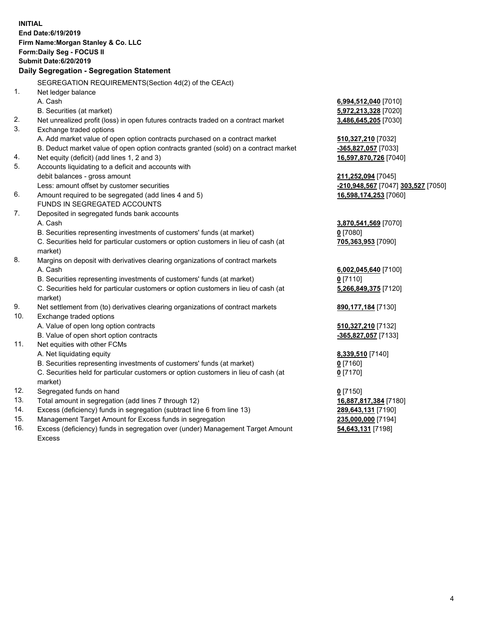| Daily Segregation - Segregation Statement<br>SEGREGATION REQUIREMENTS(Section 4d(2) of the CEAct)<br>1.<br>Net ledger balance<br>A. Cash<br>6,994,512,040 [7010]<br>B. Securities (at market)<br>5,972,213,328 [7020]<br>2.<br>Net unrealized profit (loss) in open futures contracts traded on a contract market<br>3,486,645,205 [7030]<br>3.<br>Exchange traded options<br>A. Add market value of open option contracts purchased on a contract market<br>510,327,210 [7032]<br>B. Deduct market value of open option contracts granted (sold) on a contract market<br>-365,827,057 [7033]<br>Net equity (deficit) (add lines 1, 2 and 3)<br>16,597,870,726 [7040]<br>4.<br>5.<br>Accounts liquidating to a deficit and accounts with<br>debit balances - gross amount<br>211,252,094 [7045]<br>Less: amount offset by customer securities<br>-210,948,567 [7047] 303,527 [7050]<br>6.<br>Amount required to be segregated (add lines 4 and 5)<br>16,598,174,253 [7060]<br>FUNDS IN SEGREGATED ACCOUNTS<br>7.<br>Deposited in segregated funds bank accounts<br>A. Cash<br>3,870,541,569 [7070]<br>B. Securities representing investments of customers' funds (at market)<br>$0$ [7080]<br>C. Securities held for particular customers or option customers in lieu of cash (at<br>705,363,953 [7090]<br>market)<br>8.<br>Margins on deposit with derivatives clearing organizations of contract markets<br>A. Cash<br>6,002,045,640 [7100]<br>B. Securities representing investments of customers' funds (at market)<br>$0$ [7110]<br>C. Securities held for particular customers or option customers in lieu of cash (at<br>5,266,849,375 [7120]<br>market)<br>9.<br>Net settlement from (to) derivatives clearing organizations of contract markets<br>890, 177, 184 [7130]<br>10.<br>Exchange traded options<br>A. Value of open long option contracts<br>510,327,210 [7132]<br>B. Value of open short option contracts<br>-365,827,057 [7133]<br>11.<br>Net equities with other FCMs<br>A. Net liquidating equity<br>8,339,510 [7140]<br>B. Securities representing investments of customers' funds (at market)<br>$0$ [7160]<br>C. Securities held for particular customers or option customers in lieu of cash (at<br>$0$ [7170]<br>market)<br>12.<br>Segregated funds on hand<br>$0$ [7150]<br>13.<br>Total amount in segregation (add lines 7 through 12)<br>16,887,817,384 [7180]<br>14.<br>Excess (deficiency) funds in segregation (subtract line 6 from line 13)<br>289,643,131 [7190]<br>15.<br>Management Target Amount for Excess funds in segregation<br>235,000,000 [7194]<br>16.<br>Excess (deficiency) funds in segregation over (under) Management Target Amount<br>54,643,131 [7198] | <b>INITIAL</b><br>End Date: 6/19/2019<br>Firm Name: Morgan Stanley & Co. LLC<br>Form: Daily Seg - FOCUS II<br><b>Submit Date:6/20/2019</b> |  |
|--------------------------------------------------------------------------------------------------------------------------------------------------------------------------------------------------------------------------------------------------------------------------------------------------------------------------------------------------------------------------------------------------------------------------------------------------------------------------------------------------------------------------------------------------------------------------------------------------------------------------------------------------------------------------------------------------------------------------------------------------------------------------------------------------------------------------------------------------------------------------------------------------------------------------------------------------------------------------------------------------------------------------------------------------------------------------------------------------------------------------------------------------------------------------------------------------------------------------------------------------------------------------------------------------------------------------------------------------------------------------------------------------------------------------------------------------------------------------------------------------------------------------------------------------------------------------------------------------------------------------------------------------------------------------------------------------------------------------------------------------------------------------------------------------------------------------------------------------------------------------------------------------------------------------------------------------------------------------------------------------------------------------------------------------------------------------------------------------------------------------------------------------------------------------------------------------------------------------------------------------------------------------------------------------------------------------------------------------------------------------------------------------------------------------------------------------------------------------------------------------------------------------------------------------------------------------------------------------------------------------------------------------------------------------------------------------------------|--------------------------------------------------------------------------------------------------------------------------------------------|--|
|                                                                                                                                                                                                                                                                                                                                                                                                                                                                                                                                                                                                                                                                                                                                                                                                                                                                                                                                                                                                                                                                                                                                                                                                                                                                                                                                                                                                                                                                                                                                                                                                                                                                                                                                                                                                                                                                                                                                                                                                                                                                                                                                                                                                                                                                                                                                                                                                                                                                                                                                                                                                                                                                                                              |                                                                                                                                            |  |
|                                                                                                                                                                                                                                                                                                                                                                                                                                                                                                                                                                                                                                                                                                                                                                                                                                                                                                                                                                                                                                                                                                                                                                                                                                                                                                                                                                                                                                                                                                                                                                                                                                                                                                                                                                                                                                                                                                                                                                                                                                                                                                                                                                                                                                                                                                                                                                                                                                                                                                                                                                                                                                                                                                              |                                                                                                                                            |  |
|                                                                                                                                                                                                                                                                                                                                                                                                                                                                                                                                                                                                                                                                                                                                                                                                                                                                                                                                                                                                                                                                                                                                                                                                                                                                                                                                                                                                                                                                                                                                                                                                                                                                                                                                                                                                                                                                                                                                                                                                                                                                                                                                                                                                                                                                                                                                                                                                                                                                                                                                                                                                                                                                                                              |                                                                                                                                            |  |
|                                                                                                                                                                                                                                                                                                                                                                                                                                                                                                                                                                                                                                                                                                                                                                                                                                                                                                                                                                                                                                                                                                                                                                                                                                                                                                                                                                                                                                                                                                                                                                                                                                                                                                                                                                                                                                                                                                                                                                                                                                                                                                                                                                                                                                                                                                                                                                                                                                                                                                                                                                                                                                                                                                              |                                                                                                                                            |  |
|                                                                                                                                                                                                                                                                                                                                                                                                                                                                                                                                                                                                                                                                                                                                                                                                                                                                                                                                                                                                                                                                                                                                                                                                                                                                                                                                                                                                                                                                                                                                                                                                                                                                                                                                                                                                                                                                                                                                                                                                                                                                                                                                                                                                                                                                                                                                                                                                                                                                                                                                                                                                                                                                                                              |                                                                                                                                            |  |
|                                                                                                                                                                                                                                                                                                                                                                                                                                                                                                                                                                                                                                                                                                                                                                                                                                                                                                                                                                                                                                                                                                                                                                                                                                                                                                                                                                                                                                                                                                                                                                                                                                                                                                                                                                                                                                                                                                                                                                                                                                                                                                                                                                                                                                                                                                                                                                                                                                                                                                                                                                                                                                                                                                              |                                                                                                                                            |  |
|                                                                                                                                                                                                                                                                                                                                                                                                                                                                                                                                                                                                                                                                                                                                                                                                                                                                                                                                                                                                                                                                                                                                                                                                                                                                                                                                                                                                                                                                                                                                                                                                                                                                                                                                                                                                                                                                                                                                                                                                                                                                                                                                                                                                                                                                                                                                                                                                                                                                                                                                                                                                                                                                                                              |                                                                                                                                            |  |
|                                                                                                                                                                                                                                                                                                                                                                                                                                                                                                                                                                                                                                                                                                                                                                                                                                                                                                                                                                                                                                                                                                                                                                                                                                                                                                                                                                                                                                                                                                                                                                                                                                                                                                                                                                                                                                                                                                                                                                                                                                                                                                                                                                                                                                                                                                                                                                                                                                                                                                                                                                                                                                                                                                              |                                                                                                                                            |  |
|                                                                                                                                                                                                                                                                                                                                                                                                                                                                                                                                                                                                                                                                                                                                                                                                                                                                                                                                                                                                                                                                                                                                                                                                                                                                                                                                                                                                                                                                                                                                                                                                                                                                                                                                                                                                                                                                                                                                                                                                                                                                                                                                                                                                                                                                                                                                                                                                                                                                                                                                                                                                                                                                                                              |                                                                                                                                            |  |
|                                                                                                                                                                                                                                                                                                                                                                                                                                                                                                                                                                                                                                                                                                                                                                                                                                                                                                                                                                                                                                                                                                                                                                                                                                                                                                                                                                                                                                                                                                                                                                                                                                                                                                                                                                                                                                                                                                                                                                                                                                                                                                                                                                                                                                                                                                                                                                                                                                                                                                                                                                                                                                                                                                              |                                                                                                                                            |  |
|                                                                                                                                                                                                                                                                                                                                                                                                                                                                                                                                                                                                                                                                                                                                                                                                                                                                                                                                                                                                                                                                                                                                                                                                                                                                                                                                                                                                                                                                                                                                                                                                                                                                                                                                                                                                                                                                                                                                                                                                                                                                                                                                                                                                                                                                                                                                                                                                                                                                                                                                                                                                                                                                                                              |                                                                                                                                            |  |
|                                                                                                                                                                                                                                                                                                                                                                                                                                                                                                                                                                                                                                                                                                                                                                                                                                                                                                                                                                                                                                                                                                                                                                                                                                                                                                                                                                                                                                                                                                                                                                                                                                                                                                                                                                                                                                                                                                                                                                                                                                                                                                                                                                                                                                                                                                                                                                                                                                                                                                                                                                                                                                                                                                              |                                                                                                                                            |  |
|                                                                                                                                                                                                                                                                                                                                                                                                                                                                                                                                                                                                                                                                                                                                                                                                                                                                                                                                                                                                                                                                                                                                                                                                                                                                                                                                                                                                                                                                                                                                                                                                                                                                                                                                                                                                                                                                                                                                                                                                                                                                                                                                                                                                                                                                                                                                                                                                                                                                                                                                                                                                                                                                                                              |                                                                                                                                            |  |
|                                                                                                                                                                                                                                                                                                                                                                                                                                                                                                                                                                                                                                                                                                                                                                                                                                                                                                                                                                                                                                                                                                                                                                                                                                                                                                                                                                                                                                                                                                                                                                                                                                                                                                                                                                                                                                                                                                                                                                                                                                                                                                                                                                                                                                                                                                                                                                                                                                                                                                                                                                                                                                                                                                              |                                                                                                                                            |  |
|                                                                                                                                                                                                                                                                                                                                                                                                                                                                                                                                                                                                                                                                                                                                                                                                                                                                                                                                                                                                                                                                                                                                                                                                                                                                                                                                                                                                                                                                                                                                                                                                                                                                                                                                                                                                                                                                                                                                                                                                                                                                                                                                                                                                                                                                                                                                                                                                                                                                                                                                                                                                                                                                                                              |                                                                                                                                            |  |
|                                                                                                                                                                                                                                                                                                                                                                                                                                                                                                                                                                                                                                                                                                                                                                                                                                                                                                                                                                                                                                                                                                                                                                                                                                                                                                                                                                                                                                                                                                                                                                                                                                                                                                                                                                                                                                                                                                                                                                                                                                                                                                                                                                                                                                                                                                                                                                                                                                                                                                                                                                                                                                                                                                              |                                                                                                                                            |  |
|                                                                                                                                                                                                                                                                                                                                                                                                                                                                                                                                                                                                                                                                                                                                                                                                                                                                                                                                                                                                                                                                                                                                                                                                                                                                                                                                                                                                                                                                                                                                                                                                                                                                                                                                                                                                                                                                                                                                                                                                                                                                                                                                                                                                                                                                                                                                                                                                                                                                                                                                                                                                                                                                                                              |                                                                                                                                            |  |
|                                                                                                                                                                                                                                                                                                                                                                                                                                                                                                                                                                                                                                                                                                                                                                                                                                                                                                                                                                                                                                                                                                                                                                                                                                                                                                                                                                                                                                                                                                                                                                                                                                                                                                                                                                                                                                                                                                                                                                                                                                                                                                                                                                                                                                                                                                                                                                                                                                                                                                                                                                                                                                                                                                              |                                                                                                                                            |  |
|                                                                                                                                                                                                                                                                                                                                                                                                                                                                                                                                                                                                                                                                                                                                                                                                                                                                                                                                                                                                                                                                                                                                                                                                                                                                                                                                                                                                                                                                                                                                                                                                                                                                                                                                                                                                                                                                                                                                                                                                                                                                                                                                                                                                                                                                                                                                                                                                                                                                                                                                                                                                                                                                                                              |                                                                                                                                            |  |
|                                                                                                                                                                                                                                                                                                                                                                                                                                                                                                                                                                                                                                                                                                                                                                                                                                                                                                                                                                                                                                                                                                                                                                                                                                                                                                                                                                                                                                                                                                                                                                                                                                                                                                                                                                                                                                                                                                                                                                                                                                                                                                                                                                                                                                                                                                                                                                                                                                                                                                                                                                                                                                                                                                              |                                                                                                                                            |  |
|                                                                                                                                                                                                                                                                                                                                                                                                                                                                                                                                                                                                                                                                                                                                                                                                                                                                                                                                                                                                                                                                                                                                                                                                                                                                                                                                                                                                                                                                                                                                                                                                                                                                                                                                                                                                                                                                                                                                                                                                                                                                                                                                                                                                                                                                                                                                                                                                                                                                                                                                                                                                                                                                                                              |                                                                                                                                            |  |
|                                                                                                                                                                                                                                                                                                                                                                                                                                                                                                                                                                                                                                                                                                                                                                                                                                                                                                                                                                                                                                                                                                                                                                                                                                                                                                                                                                                                                                                                                                                                                                                                                                                                                                                                                                                                                                                                                                                                                                                                                                                                                                                                                                                                                                                                                                                                                                                                                                                                                                                                                                                                                                                                                                              |                                                                                                                                            |  |
|                                                                                                                                                                                                                                                                                                                                                                                                                                                                                                                                                                                                                                                                                                                                                                                                                                                                                                                                                                                                                                                                                                                                                                                                                                                                                                                                                                                                                                                                                                                                                                                                                                                                                                                                                                                                                                                                                                                                                                                                                                                                                                                                                                                                                                                                                                                                                                                                                                                                                                                                                                                                                                                                                                              |                                                                                                                                            |  |
|                                                                                                                                                                                                                                                                                                                                                                                                                                                                                                                                                                                                                                                                                                                                                                                                                                                                                                                                                                                                                                                                                                                                                                                                                                                                                                                                                                                                                                                                                                                                                                                                                                                                                                                                                                                                                                                                                                                                                                                                                                                                                                                                                                                                                                                                                                                                                                                                                                                                                                                                                                                                                                                                                                              |                                                                                                                                            |  |
|                                                                                                                                                                                                                                                                                                                                                                                                                                                                                                                                                                                                                                                                                                                                                                                                                                                                                                                                                                                                                                                                                                                                                                                                                                                                                                                                                                                                                                                                                                                                                                                                                                                                                                                                                                                                                                                                                                                                                                                                                                                                                                                                                                                                                                                                                                                                                                                                                                                                                                                                                                                                                                                                                                              |                                                                                                                                            |  |
|                                                                                                                                                                                                                                                                                                                                                                                                                                                                                                                                                                                                                                                                                                                                                                                                                                                                                                                                                                                                                                                                                                                                                                                                                                                                                                                                                                                                                                                                                                                                                                                                                                                                                                                                                                                                                                                                                                                                                                                                                                                                                                                                                                                                                                                                                                                                                                                                                                                                                                                                                                                                                                                                                                              |                                                                                                                                            |  |
|                                                                                                                                                                                                                                                                                                                                                                                                                                                                                                                                                                                                                                                                                                                                                                                                                                                                                                                                                                                                                                                                                                                                                                                                                                                                                                                                                                                                                                                                                                                                                                                                                                                                                                                                                                                                                                                                                                                                                                                                                                                                                                                                                                                                                                                                                                                                                                                                                                                                                                                                                                                                                                                                                                              |                                                                                                                                            |  |
|                                                                                                                                                                                                                                                                                                                                                                                                                                                                                                                                                                                                                                                                                                                                                                                                                                                                                                                                                                                                                                                                                                                                                                                                                                                                                                                                                                                                                                                                                                                                                                                                                                                                                                                                                                                                                                                                                                                                                                                                                                                                                                                                                                                                                                                                                                                                                                                                                                                                                                                                                                                                                                                                                                              |                                                                                                                                            |  |
|                                                                                                                                                                                                                                                                                                                                                                                                                                                                                                                                                                                                                                                                                                                                                                                                                                                                                                                                                                                                                                                                                                                                                                                                                                                                                                                                                                                                                                                                                                                                                                                                                                                                                                                                                                                                                                                                                                                                                                                                                                                                                                                                                                                                                                                                                                                                                                                                                                                                                                                                                                                                                                                                                                              |                                                                                                                                            |  |
|                                                                                                                                                                                                                                                                                                                                                                                                                                                                                                                                                                                                                                                                                                                                                                                                                                                                                                                                                                                                                                                                                                                                                                                                                                                                                                                                                                                                                                                                                                                                                                                                                                                                                                                                                                                                                                                                                                                                                                                                                                                                                                                                                                                                                                                                                                                                                                                                                                                                                                                                                                                                                                                                                                              |                                                                                                                                            |  |
|                                                                                                                                                                                                                                                                                                                                                                                                                                                                                                                                                                                                                                                                                                                                                                                                                                                                                                                                                                                                                                                                                                                                                                                                                                                                                                                                                                                                                                                                                                                                                                                                                                                                                                                                                                                                                                                                                                                                                                                                                                                                                                                                                                                                                                                                                                                                                                                                                                                                                                                                                                                                                                                                                                              |                                                                                                                                            |  |
|                                                                                                                                                                                                                                                                                                                                                                                                                                                                                                                                                                                                                                                                                                                                                                                                                                                                                                                                                                                                                                                                                                                                                                                                                                                                                                                                                                                                                                                                                                                                                                                                                                                                                                                                                                                                                                                                                                                                                                                                                                                                                                                                                                                                                                                                                                                                                                                                                                                                                                                                                                                                                                                                                                              |                                                                                                                                            |  |
|                                                                                                                                                                                                                                                                                                                                                                                                                                                                                                                                                                                                                                                                                                                                                                                                                                                                                                                                                                                                                                                                                                                                                                                                                                                                                                                                                                                                                                                                                                                                                                                                                                                                                                                                                                                                                                                                                                                                                                                                                                                                                                                                                                                                                                                                                                                                                                                                                                                                                                                                                                                                                                                                                                              |                                                                                                                                            |  |
|                                                                                                                                                                                                                                                                                                                                                                                                                                                                                                                                                                                                                                                                                                                                                                                                                                                                                                                                                                                                                                                                                                                                                                                                                                                                                                                                                                                                                                                                                                                                                                                                                                                                                                                                                                                                                                                                                                                                                                                                                                                                                                                                                                                                                                                                                                                                                                                                                                                                                                                                                                                                                                                                                                              |                                                                                                                                            |  |
|                                                                                                                                                                                                                                                                                                                                                                                                                                                                                                                                                                                                                                                                                                                                                                                                                                                                                                                                                                                                                                                                                                                                                                                                                                                                                                                                                                                                                                                                                                                                                                                                                                                                                                                                                                                                                                                                                                                                                                                                                                                                                                                                                                                                                                                                                                                                                                                                                                                                                                                                                                                                                                                                                                              |                                                                                                                                            |  |
|                                                                                                                                                                                                                                                                                                                                                                                                                                                                                                                                                                                                                                                                                                                                                                                                                                                                                                                                                                                                                                                                                                                                                                                                                                                                                                                                                                                                                                                                                                                                                                                                                                                                                                                                                                                                                                                                                                                                                                                                                                                                                                                                                                                                                                                                                                                                                                                                                                                                                                                                                                                                                                                                                                              |                                                                                                                                            |  |
|                                                                                                                                                                                                                                                                                                                                                                                                                                                                                                                                                                                                                                                                                                                                                                                                                                                                                                                                                                                                                                                                                                                                                                                                                                                                                                                                                                                                                                                                                                                                                                                                                                                                                                                                                                                                                                                                                                                                                                                                                                                                                                                                                                                                                                                                                                                                                                                                                                                                                                                                                                                                                                                                                                              |                                                                                                                                            |  |

16. Excess (deficiency) funds in segregation over (under) Management Target Amount Excess